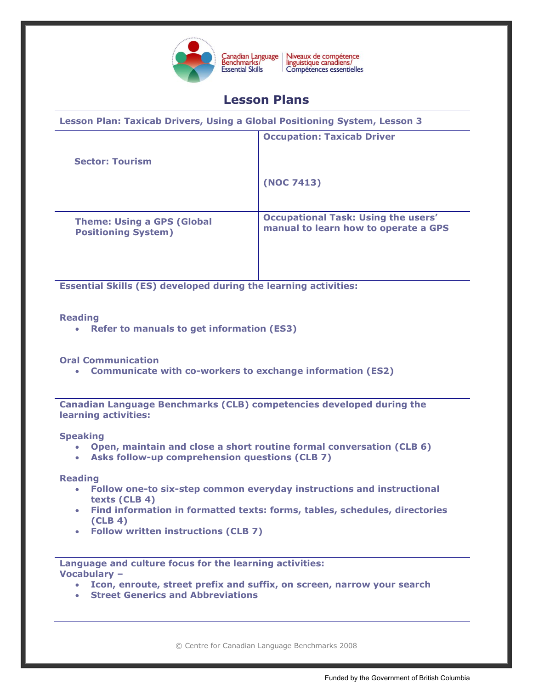

Niveaux de compétence<br>linguistique canadiens/ Canadian Language<br>Benchmarks/ Compétences essentielles

# **Lesson Plans**

| Lesson Plan: Taxicab Drivers, Using a Global Positioning System, Lesson 3 |                                                                                    |
|---------------------------------------------------------------------------|------------------------------------------------------------------------------------|
|                                                                           | <b>Occupation: Taxicab Driver</b>                                                  |
| <b>Sector: Tourism</b>                                                    |                                                                                    |
|                                                                           | (NOC 7413)                                                                         |
| <b>Theme: Using a GPS (Global</b><br><b>Positioning System)</b>           | <b>Occupational Task: Using the users'</b><br>manual to learn how to operate a GPS |

**Essential Skills (ES) developed during the learning activities:** 

## **Reading**

**Refer to manuals to get information (ES3)**

**Oral Communication**

**Communicate with co-workers to exchange information (ES2)**

**Canadian Language Benchmarks (CLB) competencies developed during the learning activities:** 

**Speaking** 

- **Open, maintain and close a short routine formal conversation (CLB 6)**
- **Asks follow-up comprehension questions (CLB 7)**

**Reading**

- **Follow one-to six-step common everyday instructions and instructional texts (CLB 4)**
- **Find information in formatted texts: forms, tables, schedules, directories (CLB 4)**
- **Follow written instructions (CLB 7)**

**Language and culture focus for the learning activities: Vocabulary –**

- **Icon, enroute, street prefix and suffix, on screen, narrow your search**
- **Street Generics and Abbreviations**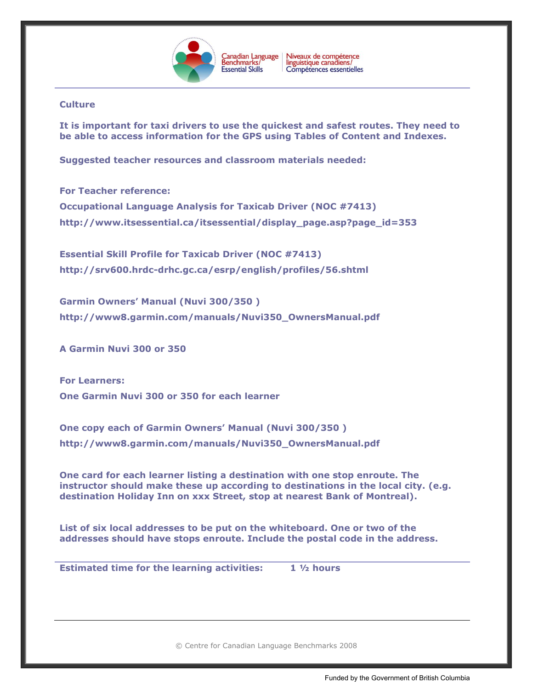

# **Culture**

**It is important for taxi drivers to use the quickest and safest routes. They need to be able to access information for the GPS using Tables of Content and Indexes.**

**Suggested teacher resources and classroom materials needed:** 

**For Teacher reference: Occupational Language Analysis for Taxicab Driver (NOC #7413) [http://www.itsessential.ca/itsessential/display\\_page.asp?page\\_id=353](http://www.itsessential.ca/itsessential/display_page.asp?page_id=353)**

**Essential Skill Profile for Taxicab Driver (NOC #7413) <http://srv600.hrdc-drhc.gc.ca/esrp/english/profiles/56.shtml>**

**Garmin Owners' Manual (Nuvi 300/350 ) [http://www8.garmin.com/manuals/Nuvi350\\_OwnersManual.pdf](http://www8.garmin.com/manuals/Nuvi350_OwnersManual.pdf)**

**A Garmin Nuvi 300 or 350**

**For Learners: One Garmin Nuvi 300 or 350 for each learner**

**One copy each of Garmin Owners' Manual (Nuvi 300/350 ) [http://www8.garmin.com/manuals/Nuvi350\\_OwnersManual.pdf](http://www8.garmin.com/manuals/Nuvi350_OwnersManual.pdf)**

**One card for each learner listing a destination with one stop enroute. The instructor should make these up according to destinations in the local city. (e.g. destination Holiday Inn on xxx Street, stop at nearest Bank of Montreal).**

**List of six local addresses to be put on the whiteboard. One or two of the addresses should have stops enroute. Include the postal code in the address.** 

**Estimated time for the learning activities: 1 ½ hours**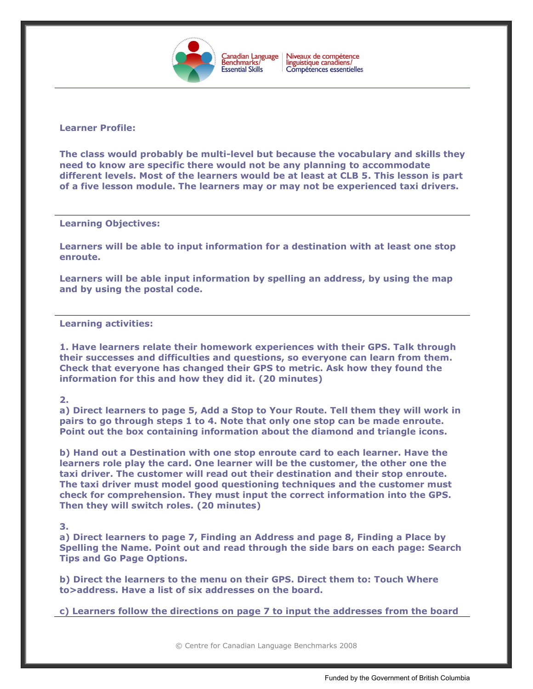

Niveaux de compétence<br>linguistique canadiens/ Compétences essentielles

# **Learner Profile:**

**The class would probably be multi-level but because the vocabulary and skills they need to know are specific there would not be any planning to accommodate different levels. Most of the learners would be at least at CLB 5. This lesson is part of a five lesson module. The learners may or may not be experienced taxi drivers.** 

## **Learning Objectives:**

**Learners will be able to input information for a destination with at least one stop enroute.**

**Learners will be able input information by spelling an address, by using the map and by using the postal code.** 

**Learning activities:**

**1. Have learners relate their homework experiences with their GPS. Talk through their successes and difficulties and questions, so everyone can learn from them. Check that everyone has changed their GPS to metric. Ask how they found the information for this and how they did it. (20 minutes)**

### **2.**

**a) Direct learners to page 5, Add a Stop to Your Route. Tell them they will work in pairs to go through steps 1 to 4. Note that only one stop can be made enroute. Point out the box containing information about the diamond and triangle icons.** 

**b) Hand out a Destination with one stop enroute card to each learner. Have the learners role play the card. One learner will be the customer, the other one the taxi driver. The customer will read out their destination and their stop enroute. The taxi driver must model good questioning techniques and the customer must check for comprehension. They must input the correct information into the GPS. Then they will switch roles. (20 minutes)**

### **3.**

**a) Direct learners to page 7, Finding an Address and page 8, Finding a Place by Spelling the Name. Point out and read through the side bars on each page: Search Tips and Go Page Options.** 

**b) Direct the learners to the menu on their GPS. Direct them to: Touch Where to>address. Have a list of six addresses on the board.** 

**c) Learners follow the directions on page 7 to input the addresses from the board**